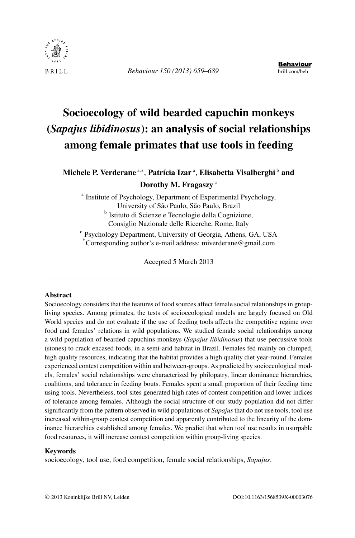

*Behaviour 150 (2013) 659–689* brill.com/beh

# **Socioecology of wild bearded capuchin monkeys (***Sapajus libidinosus***): an analysis of social relationships among female primates that use tools in feeding**

# **Michele P. Verderane** <sup>a</sup>*,*<sup>∗</sup> , **Patrícia Izar** <sup>a</sup> , **Elisabetta Visalberghi** <sup>b</sup> **and Dorothy M. Fragaszy** <sup>c</sup>

<sup>a</sup> Institute of Psychology, Department of Experimental Psychology, University of São Paulo, São Paulo, Brazil <sup>b</sup> Istituto di Scienze e Tecnologie della Cognizione, Consiglio Nazionale delle Ricerche, Rome, Italy

<sup>c</sup> Psychology Department, University of Georgia, Athens, GA, USA \*Corresponding author's e-mail address: miverderane@gmail.com

Accepted 5 March 2013

#### **Abstract**

Socioecology considers that the features of food sources affect female social relationships in groupliving species. Among primates, the tests of socioecological models are largely focused on Old World species and do not evaluate if the use of feeding tools affects the competitive regime over food and females' relations in wild populations. We studied female social relationships among a wild population of bearded capuchins monkeys (*Sapajus libidinosus*) that use percussive tools (stones) to crack encased foods, in a semi-arid habitat in Brazil. Females fed mainly on clumped, high quality resources, indicating that the habitat provides a high quality diet year-round. Females experienced contest competition within and between-groups. As predicted by socioecological models, females' social relationships were characterized by philopatry, linear dominance hierarchies, coalitions, and tolerance in feeding bouts. Females spent a small proportion of their feeding time using tools. Nevertheless, tool sites generated high rates of contest competition and lower indices of tolerance among females. Although the social structure of our study population did not differ significantly from the pattern observed in wild populations of *Sapajus* that do not use tools, tool use increased within-group contest competition and apparently contributed to the linearity of the dominance hierarchies established among females. We predict that when tool use results in usurpable food resources, it will increase contest competition within group-living species.

#### **Keywords**

socioecology, tool use, food competition, female social relationships, *Sapajus*.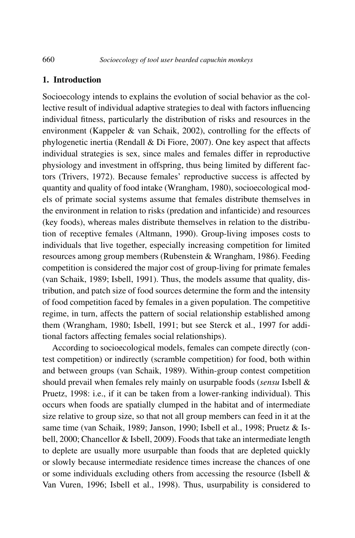# **1. Introduction**

Socioecology intends to explains the evolution of social behavior as the collective result of individual adaptive strategies to deal with factors influencing individual fitness, particularly the distribution of risks and resources in the environment (Kappeler & van Schaik, 2002), controlling for the effects of phylogenetic inertia (Rendall & Di Fiore, 2007). One key aspect that affects individual strategies is sex, since males and females differ in reproductive physiology and investment in offspring, thus being limited by different factors (Trivers, 1972). Because females' reproductive success is affected by quantity and quality of food intake (Wrangham, 1980), socioecological models of primate social systems assume that females distribute themselves in the environment in relation to risks (predation and infanticide) and resources (key foods), whereas males distribute themselves in relation to the distribution of receptive females (Altmann, 1990). Group-living imposes costs to individuals that live together, especially increasing competition for limited resources among group members (Rubenstein & Wrangham, 1986). Feeding competition is considered the major cost of group-living for primate females (van Schaik, 1989; Isbell, 1991). Thus, the models assume that quality, distribution, and patch size of food sources determine the form and the intensity of food competition faced by females in a given population. The competitive regime, in turn, affects the pattern of social relationship established among them (Wrangham, 1980; Isbell, 1991; but see Sterck et al., 1997 for additional factors affecting females social relationships).

According to socioecological models, females can compete directly (contest competition) or indirectly (scramble competition) for food, both within and between groups (van Schaik, 1989). Within-group contest competition should prevail when females rely mainly on usurpable foods (*sensu* Isbell & Pruetz, 1998: i.e., if it can be taken from a lower-ranking individual). This occurs when foods are spatially clumped in the habitat and of intermediate size relative to group size, so that not all group members can feed in it at the same time (van Schaik, 1989; Janson, 1990; Isbell et al., 1998; Pruetz & Isbell, 2000; Chancellor & Isbell, 2009). Foods that take an intermediate length to deplete are usually more usurpable than foods that are depleted quickly or slowly because intermediate residence times increase the chances of one or some individuals excluding others from accessing the resource (Isbell  $\&$ Van Vuren, 1996; Isbell et al., 1998). Thus, usurpability is considered to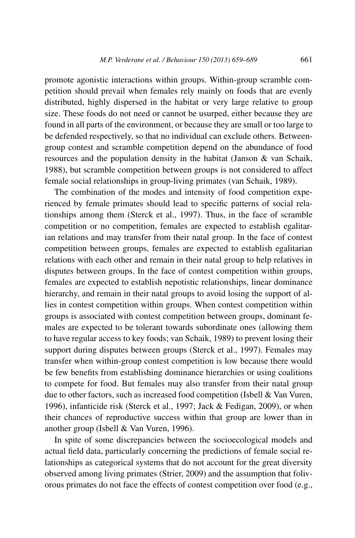promote agonistic interactions within groups. Within-group scramble competition should prevail when females rely mainly on foods that are evenly distributed, highly dispersed in the habitat or very large relative to group size. These foods do not need or cannot be usurped, either because they are found in all parts of the environment, or because they are small or too large to be defended respectively, so that no individual can exclude others. Betweengroup contest and scramble competition depend on the abundance of food resources and the population density in the habitat (Janson & van Schaik, 1988), but scramble competition between groups is not considered to affect female social relationships in group-living primates (van Schaik, 1989).

The combination of the modes and intensity of food competition experienced by female primates should lead to specific patterns of social relationships among them (Sterck et al., 1997). Thus, in the face of scramble competition or no competition, females are expected to establish egalitarian relations and may transfer from their natal group. In the face of contest competition between groups, females are expected to establish egalitarian relations with each other and remain in their natal group to help relatives in disputes between groups. In the face of contest competition within groups, females are expected to establish nepotistic relationships, linear dominance hierarchy, and remain in their natal groups to avoid losing the support of allies in contest competition within groups. When contest competition within groups is associated with contest competition between groups, dominant females are expected to be tolerant towards subordinate ones (allowing them to have regular access to key foods; van Schaik, 1989) to prevent losing their support during disputes between groups (Sterck et al., 1997). Females may transfer when within-group contest competition is low because there would be few benefits from establishing dominance hierarchies or using coalitions to compete for food. But females may also transfer from their natal group due to other factors, such as increased food competition (Isbell & Van Vuren, 1996), infanticide risk (Sterck et al., 1997; Jack & Fedigan, 2009), or when their chances of reproductive success within that group are lower than in another group (Isbell & Van Vuren, 1996).

In spite of some discrepancies between the socioecological models and actual field data, particularly concerning the predictions of female social relationships as categorical systems that do not account for the great diversity observed among living primates (Strier, 2009) and the assumption that folivorous primates do not face the effects of contest competition over food (e.g.,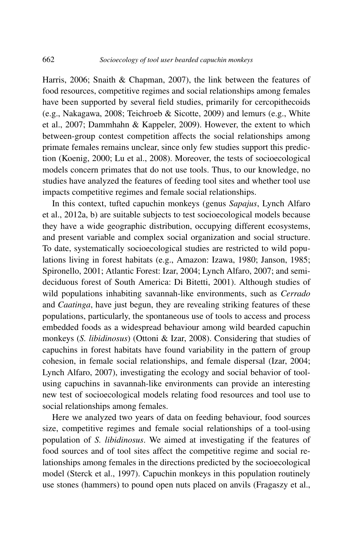Harris, 2006; Snaith & Chapman, 2007), the link between the features of food resources, competitive regimes and social relationships among females have been supported by several field studies, primarily for cercopithecoids (e.g., Nakagawa, 2008; Teichroeb & Sicotte, 2009) and lemurs (e.g., White et al., 2007; Dammhahn & Kappeler, 2009). However, the extent to which between-group contest competition affects the social relationships among primate females remains unclear, since only few studies support this prediction (Koenig, 2000; Lu et al., 2008). Moreover, the tests of socioecological models concern primates that do not use tools. Thus, to our knowledge, no studies have analyzed the features of feeding tool sites and whether tool use impacts competitive regimes and female social relationships.

In this context, tufted capuchin monkeys (genus *Sapajus*, Lynch Alfaro et al., 2012a, b) are suitable subjects to test socioecological models because they have a wide geographic distribution, occupying different ecosystems, and present variable and complex social organization and social structure. To date, systematically socioecological studies are restricted to wild populations living in forest habitats (e.g., Amazon: Izawa, 1980; Janson, 1985; Spironello, 2001; Atlantic Forest: Izar, 2004; Lynch Alfaro, 2007; and semideciduous forest of South America: Di Bitetti, 2001). Although studies of wild populations inhabiting savannah-like environments, such as *Cerrado* and *Caatinga*, have just begun, they are revealing striking features of these populations, particularly, the spontaneous use of tools to access and process embedded foods as a widespread behaviour among wild bearded capuchin monkeys (*S. libidinosus*) (Ottoni & Izar, 2008). Considering that studies of capuchins in forest habitats have found variability in the pattern of group cohesion, in female social relationships, and female dispersal (Izar, 2004; Lynch Alfaro, 2007), investigating the ecology and social behavior of toolusing capuchins in savannah-like environments can provide an interesting new test of socioecological models relating food resources and tool use to social relationships among females.

Here we analyzed two years of data on feeding behaviour, food sources size, competitive regimes and female social relationships of a tool-using population of *S. libidinosus*. We aimed at investigating if the features of food sources and of tool sites affect the competitive regime and social relationships among females in the directions predicted by the socioecological model (Sterck et al., 1997). Capuchin monkeys in this population routinely use stones (hammers) to pound open nuts placed on anvils (Fragaszy et al.,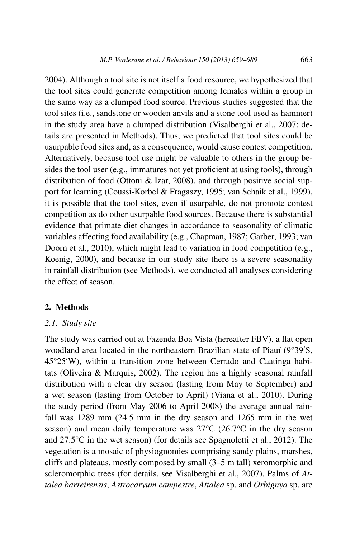2004). Although a tool site is not itself a food resource, we hypothesized that the tool sites could generate competition among females within a group in the same way as a clumped food source. Previous studies suggested that the tool sites (i.e., sandstone or wooden anvils and a stone tool used as hammer) in the study area have a clumped distribution (Visalberghi et al., 2007; details are presented in Methods). Thus, we predicted that tool sites could be usurpable food sites and, as a consequence, would cause contest competition. Alternatively, because tool use might be valuable to others in the group besides the tool user (e.g., immatures not yet proficient at using tools), through distribution of food (Ottoni & Izar, 2008), and through positive social support for learning (Coussi-Korbel & Fragaszy, 1995; van Schaik et al., 1999), it is possible that the tool sites, even if usurpable, do not promote contest competition as do other usurpable food sources. Because there is substantial evidence that primate diet changes in accordance to seasonality of climatic variables affecting food availability (e.g., Chapman, 1987; Garber, 1993; van Doorn et al., 2010), which might lead to variation in food competition (e.g., Koenig, 2000), and because in our study site there is a severe seasonality in rainfall distribution (see Methods), we conducted all analyses considering the effect of season.

# **2. Methods**

# *2.1. Study site*

The study was carried out at Fazenda Boa Vista (hereafter FBV), a flat open woodland area located in the northeastern Brazilian state of Piauí (9°39 S, 45°25 W), within a transition zone between Cerrado and Caatinga habitats (Oliveira & Marquis, 2002). The region has a highly seasonal rainfall distribution with a clear dry season (lasting from May to September) and a wet season (lasting from October to April) (Viana et al., 2010). During the study period (from May 2006 to April 2008) the average annual rainfall was 1289 mm (24.5 mm in the dry season and 1265 mm in the wet season) and mean daily temperature was  $27^{\circ}C$  (26.7 $^{\circ}C$  in the dry season and 27.5°C in the wet season) (for details see Spagnoletti et al., 2012). The vegetation is a mosaic of physiognomies comprising sandy plains, marshes, cliffs and plateaus, mostly composed by small (3–5 m tall) xeromorphic and scleromorphic trees (for details, see Visalberghi et al., 2007). Palms of *Attalea barreirensis*, *Astrocaryum campestre*, *Attalea* sp. and *Orbignya* sp. are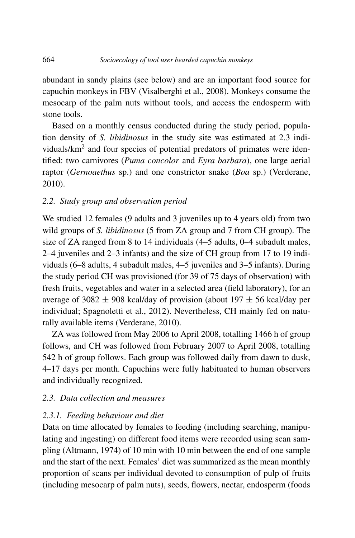abundant in sandy plains (see below) and are an important food source for capuchin monkeys in FBV (Visalberghi et al., 2008). Monkeys consume the mesocarp of the palm nuts without tools, and access the endosperm with stone tools.

Based on a monthly census conducted during the study period, population density of *S. libidinosus* in the study site was estimated at 2.3 individuals/ $km^2$  and four species of potential predators of primates were identified: two carnivores (*Puma concolor* and *Eyra barbara*), one large aerial raptor (*Gernoaethus* sp.) and one constrictor snake (*Boa* sp.) (Verderane, 2010).

# *2.2. Study group and observation period*

We studied 12 females (9 adults and 3 juveniles up to 4 years old) from two wild groups of *S. libidinosus* (5 from ZA group and 7 from CH group). The size of ZA ranged from 8 to 14 individuals (4–5 adults, 0–4 subadult males, 2–4 juveniles and 2–3 infants) and the size of CH group from 17 to 19 individuals (6–8 adults, 4 subadult males, 4–5 juveniles and 3–5 infants). During the study period CH was provisioned (for 39 of 75 days of observation) with fresh fruits, vegetables and water in a selected area (field laboratory), for an average of 3082  $\pm$  908 kcal/day of provision (about 197  $\pm$  56 kcal/day per individual; Spagnoletti et al., 2012). Nevertheless, CH mainly fed on naturally available items (Verderane, 2010).

ZA was followed from May 2006 to April 2008, totalling 1466 h of group follows, and CH was followed from February 2007 to April 2008, totalling 542 h of group follows. Each group was followed daily from dawn to dusk, 4–17 days per month. Capuchins were fully habituated to human observers and individually recognized.

# *2.3. Data collection and measures*

# *2.3.1. Feeding behaviour and diet*

Data on time allocated by females to feeding (including searching, manipulating and ingesting) on different food items were recorded using scan sampling (Altmann, 1974) of 10 min with 10 min between the end of one sample and the start of the next. Females' diet was summarized as the mean monthly proportion of scans per individual devoted to consumption of pulp of fruits (including mesocarp of palm nuts), seeds, flowers, nectar, endosperm (foods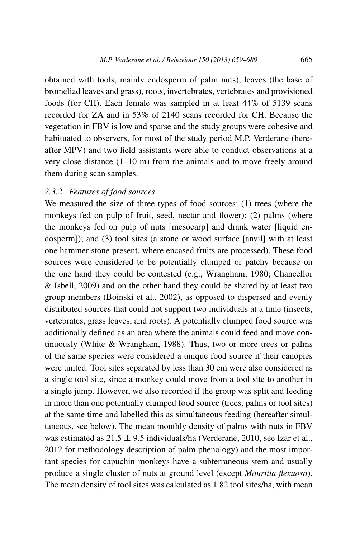obtained with tools, mainly endosperm of palm nuts), leaves (the base of bromeliad leaves and grass), roots, invertebrates, vertebrates and provisioned foods (for CH). Each female was sampled in at least 44% of 5139 scans recorded for ZA and in 53% of 2140 scans recorded for CH. Because the vegetation in FBV is low and sparse and the study groups were cohesive and habituated to observers, for most of the study period M.P. Verderane (hereafter MPV) and two field assistants were able to conduct observations at a very close distance (1–10 m) from the animals and to move freely around them during scan samples.

# *2.3.2. Features of food sources*

We measured the size of three types of food sources: (1) trees (where the monkeys fed on pulp of fruit, seed, nectar and flower); (2) palms (where the monkeys fed on pulp of nuts [mesocarp] and drank water [liquid endosperm]); and (3) tool sites (a stone or wood surface [anvil] with at least one hammer stone present, where encased fruits are processed). These food sources were considered to be potentially clumped or patchy because on the one hand they could be contested (e.g., Wrangham, 1980; Chancellor & Isbell, 2009) and on the other hand they could be shared by at least two group members (Boinski et al., 2002), as opposed to dispersed and evenly distributed sources that could not support two individuals at a time (insects, vertebrates, grass leaves, and roots). A potentially clumped food source was additionally defined as an area where the animals could feed and move continuously (White & Wrangham, 1988). Thus, two or more trees or palms of the same species were considered a unique food source if their canopies were united. Tool sites separated by less than 30 cm were also considered as a single tool site, since a monkey could move from a tool site to another in a single jump. However, we also recorded if the group was split and feeding in more than one potentially clumped food source (trees, palms or tool sites) at the same time and labelled this as simultaneous feeding (hereafter simultaneous, see below). The mean monthly density of palms with nuts in FBV was estimated as  $21.5 \pm 9.5$  individuals/ha (Verderane, 2010, see Izar et al., 2012 for methodology description of palm phenology) and the most important species for capuchin monkeys have a subterraneous stem and usually produce a single cluster of nuts at ground level (except *Mauritia flexuosa*). The mean density of tool sites was calculated as 1.82 tool sites/ha, with mean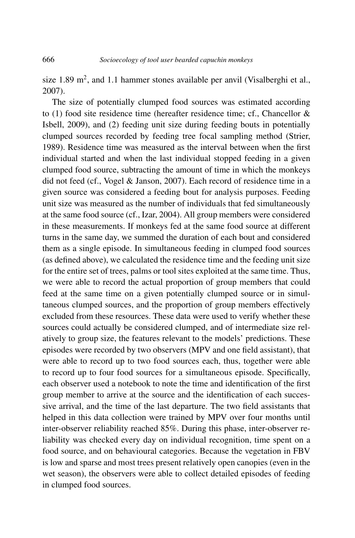size  $1.89$  m<sup>2</sup>, and 1.1 hammer stones available per anvil (Visalberghi et al., 2007).

The size of potentially clumped food sources was estimated according to (1) food site residence time (hereafter residence time; cf., Chancellor & Isbell, 2009), and (2) feeding unit size during feeding bouts in potentially clumped sources recorded by feeding tree focal sampling method (Strier, 1989). Residence time was measured as the interval between when the first individual started and when the last individual stopped feeding in a given clumped food source, subtracting the amount of time in which the monkeys did not feed (cf., Vogel & Janson, 2007). Each record of residence time in a given source was considered a feeding bout for analysis purposes. Feeding unit size was measured as the number of individuals that fed simultaneously at the same food source (cf., Izar, 2004). All group members were considered in these measurements. If monkeys fed at the same food source at different turns in the same day, we summed the duration of each bout and considered them as a single episode. In simultaneous feeding in clumped food sources (as defined above), we calculated the residence time and the feeding unit size for the entire set of trees, palms or tool sites exploited at the same time. Thus, we were able to record the actual proportion of group members that could feed at the same time on a given potentially clumped source or in simultaneous clumped sources, and the proportion of group members effectively excluded from these resources. These data were used to verify whether these sources could actually be considered clumped, and of intermediate size relatively to group size, the features relevant to the models' predictions. These episodes were recorded by two observers (MPV and one field assistant), that were able to record up to two food sources each, thus, together were able to record up to four food sources for a simultaneous episode. Specifically, each observer used a notebook to note the time and identification of the first group member to arrive at the source and the identification of each successive arrival, and the time of the last departure. The two field assistants that helped in this data collection were trained by MPV over four months until inter-observer reliability reached 85%. During this phase, inter-observer reliability was checked every day on individual recognition, time spent on a food source, and on behavioural categories. Because the vegetation in FBV is low and sparse and most trees present relatively open canopies (even in the wet season), the observers were able to collect detailed episodes of feeding in clumped food sources.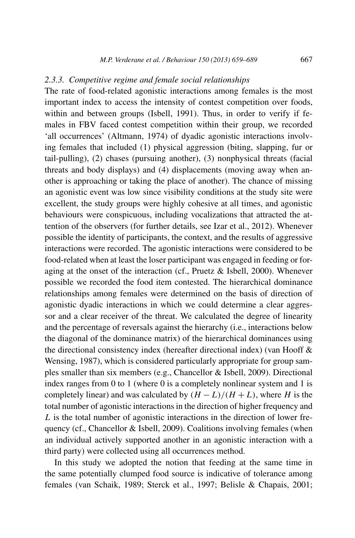# *2.3.3. Competitive regime and female social relationships*

The rate of food-related agonistic interactions among females is the most important index to access the intensity of contest competition over foods, within and between groups (Isbell, 1991). Thus, in order to verify if females in FBV faced contest competition within their group, we recorded 'all occurrences' (Altmann, 1974) of dyadic agonistic interactions involving females that included (1) physical aggression (biting, slapping, fur or tail-pulling), (2) chases (pursuing another), (3) nonphysical threats (facial threats and body displays) and (4) displacements (moving away when another is approaching or taking the place of another). The chance of missing an agonistic event was low since visibility conditions at the study site were excellent, the study groups were highly cohesive at all times, and agonistic behaviours were conspicuous, including vocalizations that attracted the attention of the observers (for further details, see Izar et al., 2012). Whenever possible the identity of participants, the context, and the results of aggressive interactions were recorded. The agonistic interactions were considered to be food-related when at least the loser participant was engaged in feeding or foraging at the onset of the interaction (cf., Pruetz & Isbell, 2000). Whenever possible we recorded the food item contested. The hierarchical dominance relationships among females were determined on the basis of direction of agonistic dyadic interactions in which we could determine a clear aggressor and a clear receiver of the threat. We calculated the degree of linearity and the percentage of reversals against the hierarchy (i.e., interactions below the diagonal of the dominance matrix) of the hierarchical dominances using the directional consistency index (hereafter directional index) (van Hooff & Wensing, 1987), which is considered particularly appropriate for group samples smaller than six members (e.g., Chancellor & Isbell, 2009). Directional index ranges from 0 to 1 (where 0 is a completely nonlinear system and 1 is completely linear) and was calculated by  $(H - L)/(H + L)$ , where *H* is the total number of agonistic interactions in the direction of higher frequency and *L* is the total number of agonistic interactions in the direction of lower frequency (cf., Chancellor & Isbell, 2009). Coalitions involving females (when an individual actively supported another in an agonistic interaction with a third party) were collected using all occurrences method.

In this study we adopted the notion that feeding at the same time in the same potentially clumped food source is indicative of tolerance among females (van Schaik, 1989; Sterck et al., 1997; Belisle & Chapais, 2001;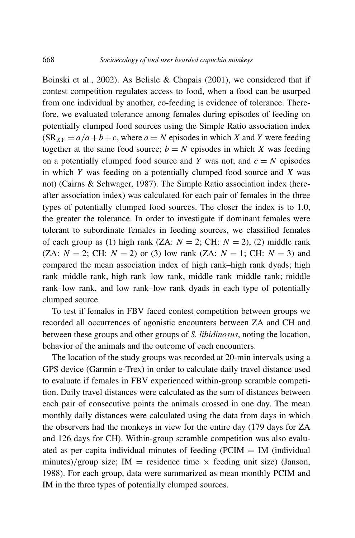Boinski et al., 2002). As Belisle & Chapais (2001), we considered that if contest competition regulates access to food, when a food can be usurped from one individual by another, co-feeding is evidence of tolerance. Therefore, we evaluated tolerance among females during episodes of feeding on potentially clumped food sources using the Simple Ratio association index  $(SR<sub>XY</sub> = a/a + b + c$ , where  $a = N$  episodes in which *X* and *Y* were feeding together at the same food source;  $b = N$  episodes in which *X* was feeding on a potentially clumped food source and *Y* was not; and  $c = N$  episodes in which *Y* was feeding on a potentially clumped food source and *X* was not) (Cairns & Schwager, 1987). The Simple Ratio association index (hereafter association index) was calculated for each pair of females in the three types of potentially clumped food sources. The closer the index is to 1.0, the greater the tolerance. In order to investigate if dominant females were tolerant to subordinate females in feeding sources, we classified females of each group as (1) high rank (ZA:  $N = 2$ ; CH:  $N = 2$ ), (2) middle rank (ZA:  $N = 2$ ; CH:  $N = 2$ ) or (3) low rank (ZA:  $N = 1$ ; CH:  $N = 3$ ) and compared the mean association index of high rank–high rank dyads; high rank–middle rank, high rank–low rank, middle rank–middle rank; middle rank–low rank, and low rank–low rank dyads in each type of potentially clumped source.

To test if females in FBV faced contest competition between groups we recorded all occurrences of agonistic encounters between ZA and CH and between these groups and other groups of *S. libidinosus*, noting the location, behavior of the animals and the outcome of each encounters.

The location of the study groups was recorded at 20-min intervals using a GPS device (Garmin e-Trex) in order to calculate daily travel distance used to evaluate if females in FBV experienced within-group scramble competition. Daily travel distances were calculated as the sum of distances between each pair of consecutive points the animals crossed in one day. The mean monthly daily distances were calculated using the data from days in which the observers had the monkeys in view for the entire day (179 days for ZA and 126 days for CH). Within-group scramble competition was also evaluated as per capita individual minutes of feeding (PCIM  $=$  IM (individual minutes)/group size;  $IM =$  residence time  $\times$  feeding unit size) (Janson, 1988). For each group, data were summarized as mean monthly PCIM and IM in the three types of potentially clumped sources.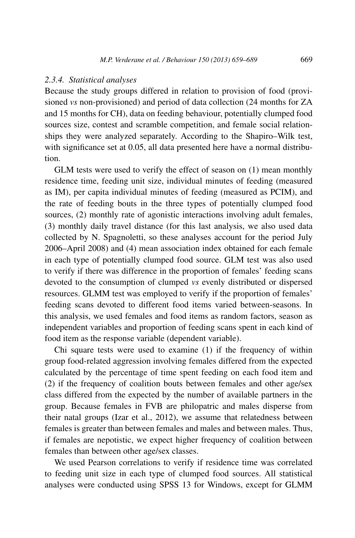#### *2.3.4. Statistical analyses*

Because the study groups differed in relation to provision of food (provisioned *vs* non-provisioned) and period of data collection (24 months for ZA and 15 months for CH), data on feeding behaviour, potentially clumped food sources size, contest and scramble competition, and female social relationships they were analyzed separately. According to the Shapiro–Wilk test, with significance set at 0.05, all data presented here have a normal distribution.

GLM tests were used to verify the effect of season on (1) mean monthly residence time, feeding unit size, individual minutes of feeding (measured as IM), per capita individual minutes of feeding (measured as PCIM), and the rate of feeding bouts in the three types of potentially clumped food sources, (2) monthly rate of agonistic interactions involving adult females, (3) monthly daily travel distance (for this last analysis, we also used data collected by N. Spagnoletti, so these analyses account for the period July 2006–April 2008) and (4) mean association index obtained for each female in each type of potentially clumped food source. GLM test was also used to verify if there was difference in the proportion of females' feeding scans devoted to the consumption of clumped *vs* evenly distributed or dispersed resources. GLMM test was employed to verify if the proportion of females' feeding scans devoted to different food items varied between-seasons. In this analysis, we used females and food items as random factors, season as independent variables and proportion of feeding scans spent in each kind of food item as the response variable (dependent variable).

Chi square tests were used to examine (1) if the frequency of within group food-related aggression involving females differed from the expected calculated by the percentage of time spent feeding on each food item and (2) if the frequency of coalition bouts between females and other age/sex class differed from the expected by the number of available partners in the group. Because females in FVB are philopatric and males disperse from their natal groups (Izar et al., 2012), we assume that relatedness between females is greater than between females and males and between males. Thus, if females are nepotistic, we expect higher frequency of coalition between females than between other age/sex classes.

We used Pearson correlations to verify if residence time was correlated to feeding unit size in each type of clumped food sources. All statistical analyses were conducted using SPSS 13 for Windows, except for GLMM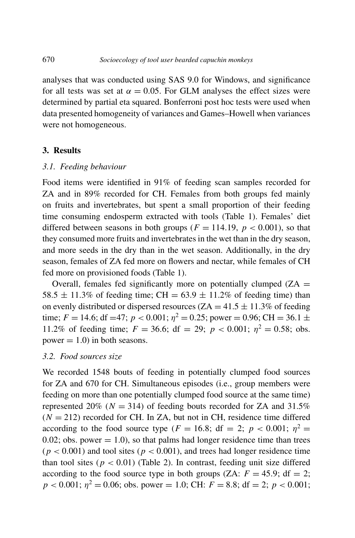analyses that was conducted using SAS 9.0 for Windows, and significance for all tests was set at  $\alpha = 0.05$ . For GLM analyses the effect sizes were determined by partial eta squared. Bonferroni post hoc tests were used when data presented homogeneity of variances and Games–Howell when variances were not homogeneous.

# **3. Results**

#### *3.1. Feeding behaviour*

Food items were identified in 91% of feeding scan samples recorded for ZA and in 89% recorded for CH. Females from both groups fed mainly on fruits and invertebrates, but spent a small proportion of their feeding time consuming endosperm extracted with tools (Table 1). Females' diet differed between seasons in both groups ( $F = 114.19$ ,  $p < 0.001$ ), so that they consumed more fruits and invertebrates in the wet than in the dry season, and more seeds in the dry than in the wet season. Additionally, in the dry season, females of ZA fed more on flowers and nectar, while females of CH fed more on provisioned foods (Table 1).

Overall, females fed significantly more on potentially clumped  $(ZA =$ 58.5  $\pm$  11.3% of feeding time; CH = 63.9  $\pm$  11.2% of feeding time) than on evenly distributed or dispersed resources ( $ZA = 41.5 \pm 11.3\%$  of feeding time;  $F = 14.6$ ; df =47;  $p < 0.001$ ;  $\eta^2 = 0.25$ ; power = 0.96; CH = 36.1 ± 11.2% of feeding time;  $F = 36.6$ ; df = 29;  $p < 0.001$ ;  $n^2 = 0.58$ ; obs. power  $= 1.0$  in both seasons.

# *3.2. Food sources size*

We recorded 1548 bouts of feeding in potentially clumped food sources for ZA and 670 for CH. Simultaneous episodes (i.e., group members were feeding on more than one potentially clumped food source at the same time) represented 20% ( $N = 314$ ) of feeding bouts recorded for ZA and 31.5%  $(N = 212)$  recorded for CH. In ZA, but not in CH, residence time differed according to the food source type ( $F = 16.8$ ; df = 2;  $p < 0.001$ ;  $\eta^2 =$  $0.02$ ; obs. power  $= 1.0$ ), so that palms had longer residence time than trees  $(p < 0.001)$  and tool sites  $(p < 0.001)$ , and trees had longer residence time than tool sites ( $p < 0.01$ ) (Table 2). In contrast, feeding unit size differed according to the food source type in both groups (ZA:  $F = 45.9$ ; df = 2;  $p < 0.001$ ;  $\eta^2 = 0.06$ ; obs. power = 1.0; CH:  $F = 8.8$ ; df = 2;  $p < 0.001$ ;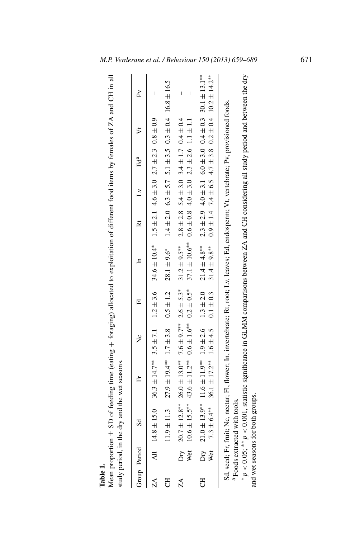| Table 1.           |              |                                                                              | Mean proportion $\pm$ SD of feeding time (eating + foraging) allocated to exploitation of different food items by females of ZA and CH in all<br>study period, in the dry and the wet seasons.                                                                                               |   |                                |                                                                                                 |                      |                      |                                                         |                                                                                                                                                        |
|--------------------|--------------|------------------------------------------------------------------------------|----------------------------------------------------------------------------------------------------------------------------------------------------------------------------------------------------------------------------------------------------------------------------------------------|---|--------------------------------|-------------------------------------------------------------------------------------------------|----------------------|----------------------|---------------------------------------------------------|--------------------------------------------------------------------------------------------------------------------------------------------------------|
|                    | Group Period | S                                                                            | Ė                                                                                                                                                                                                                                                                                            | ž | E                              | $\mathbf{H}$                                                                                    | $\tilde{\mathbf{K}}$ | $\tilde{\mathbf{L}}$ | Ed <sup>a</sup>                                         | ፈ                                                                                                                                                      |
| $\mathbb{Z}\Delta$ |              |                                                                              | All $14.8 \pm 15.0$ $36.3 \pm 14.7$ ** $3.5 \pm 7.1$ $1.2 \pm 3.6$ $34.6 \pm 10.4$ * $1.5 \pm 2.1$ $4.6 \pm 3.0$ $2.7 \pm 2.3$ $0.8 \pm 0.9$                                                                                                                                                 |   |                                |                                                                                                 |                      |                      |                                                         |                                                                                                                                                        |
|                    |              | $11.9 \pm 11.3$                                                              | $27.9 \pm 19.4$ <sup>**</sup> $1.7 \pm 3.8$ 0.5 $\pm$ 1.2                                                                                                                                                                                                                                    |   |                                | $28.1 \pm 9.6^*$                                                                                |                      |                      |                                                         | $1.4 \pm 2.0$ 6.3 $\pm$ 5.7 5.1 $\pm$ 3.5 0.3 $\pm$ 0.4 16.8 $\pm$ 16.5                                                                                |
|                    | Wet<br>Dry   |                                                                              | $20.7 \pm 12.8***$ $26.0 \pm 13.0***$ $7.6 \pm 9.7***$ $2.6 \pm 5.3*$<br>$10.6 \pm 15.5***$ $43.6 \pm 11.2***$ $0.6 \pm 1.6***$ $0.2 \pm 0.5*$                                                                                                                                               |   |                                | $37.1 \pm 10.6$ ** $0.6 \pm 0.8$ $4.0 \pm 3.0$ $2.3 \pm 2.6$ $1.1 \pm 1.1$<br>$31.2 \pm 9.5***$ |                      |                      | $2.8 \pm 2.8$ 5.4 $\pm$ 3.0 3.4 $\pm$ 1.7 0.4 $\pm$ 0.4 | I                                                                                                                                                      |
| 3                  | Dry<br>Wet   | 7.3 $\pm$ 6.4**                                                              | $21.0 \pm 13.9***$ $11.6 \pm 11.9**$ $1.9 \pm 2.6$<br>$36.1 \pm 17.2***$ 1.6 ± 4.5                                                                                                                                                                                                           |   | $1.3 \pm 2.0$<br>$0.1 \pm 0.3$ | $21.4 \pm 4.8***$<br>$31.4 \pm 9.8***$                                                          |                      |                      |                                                         | $2.3 \pm 2.9$ 4.0 $\pm$ 3.1 6.0 $\pm$ 3.0 0.4 $\pm$ 0.3 30.1 $\pm$ 13.1**<br>$0.9 \pm 1.4$ 7.4 $\pm$ 6.5 $4.7 \pm 3.8$ $0.2 \pm 0.4$ 10.2 $\pm$ 14.2** |
|                    |              | and wet seasons for both groups.<br><sup>a</sup> Foods extracted with tools. | $* p < 0.05$ , $* * p < 0.001$ , statistic significance in GLMM comparisons between ZA and CH considering all study period and between the dry<br>Sd, seed; Fr, fruit; Nc, nectar; Fl, flower; In, invertebrate; Rt, root; Lv, leaves; Ed, endosperm; Vt, vertebrate; Pv, provisioned foods. |   |                                |                                                                                                 |                      |                      |                                                         |                                                                                                                                                        |

| :                        |                                                                                      |
|--------------------------|--------------------------------------------------------------------------------------|
| $\frac{1}{2}$            |                                                                                      |
|                          |                                                                                      |
| I                        |                                                                                      |
|                          |                                                                                      |
|                          |                                                                                      |
|                          |                                                                                      |
|                          |                                                                                      |
|                          |                                                                                      |
|                          |                                                                                      |
|                          |                                                                                      |
|                          |                                                                                      |
|                          |                                                                                      |
|                          |                                                                                      |
|                          |                                                                                      |
|                          |                                                                                      |
|                          |                                                                                      |
|                          |                                                                                      |
| į                        |                                                                                      |
|                          |                                                                                      |
|                          |                                                                                      |
| $\frac{1}{2}$            |                                                                                      |
|                          |                                                                                      |
| Ö                        |                                                                                      |
|                          |                                                                                      |
|                          |                                                                                      |
| $+$ foro                 |                                                                                      |
|                          |                                                                                      |
|                          |                                                                                      |
|                          |                                                                                      |
|                          |                                                                                      |
| $\frac{1}{2}$            |                                                                                      |
|                          |                                                                                      |
|                          |                                                                                      |
|                          |                                                                                      |
| يہ<br>م<br>$\frac{1}{2}$ | ֖֖֖֖֖֖֧ׅׅ֪ׅ֪֪ׅ֪֪ׅ֪֪֪ׅ֪֪֪֪֪֪ׅ֧֪֪ׅ֧֪֪֪֪֪֪֪֪֪֪֪֪֪ׅ֚֚֚֚֚֚֚֚֚֚֚֚֚֚֚֚֚֚֚֚֚֚֚֚֡֬֝֓֓֓֓֓֞֝֓֞֓ |
|                          | くちく こうて くらす ちゃ                                                                       |
|                          |                                                                                      |
| i                        | l                                                                                    |
| $\frac{1}{2}$            |                                                                                      |
| ne noon<br>j             | í                                                                                    |
|                          | İ                                                                                    |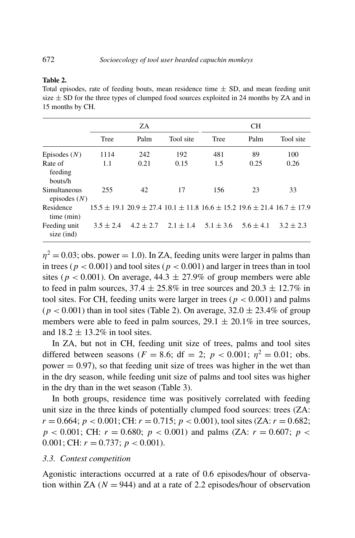#### **Table 2.**

Total episodes, rate of feeding bouts, mean residence time  $\pm$  SD, and mean feeding unit size  $\pm$  SD for the three types of clumped food sources exploited in 24 months by ZA and in 15 months by CH.

|                                |               | ΖA                                                                                              |               |               | <b>CH</b>     |               |
|--------------------------------|---------------|-------------------------------------------------------------------------------------------------|---------------|---------------|---------------|---------------|
|                                | Tree          | Palm                                                                                            | Tool site     | Tree          | Palm          | Tool site     |
| Episodes $(N)$                 | 1114          | 242                                                                                             | 192           | 481           | 89            | 100           |
| Rate of<br>feeding<br>bouts/h  | 1.1           | 0.21                                                                                            | 0.15          | 1.5           | 0.25          | 0.26          |
| Simultaneous<br>episodes $(N)$ | 255           | 42                                                                                              | 17            | 156           | 23            | 33            |
| Residence<br>time (min)        |               | $15.5 \pm 19.1$ $20.9 \pm 27.4$ $10.1 \pm 11.8$ $16.6 \pm 15.2$ $19.6 \pm 21.4$ $16.7 \pm 17.9$ |               |               |               |               |
| Feeding unit<br>size (ind)     | $3.5 \pm 2.4$ | $4.2 \pm 2.7$                                                                                   | $2.1 \pm 1.4$ | $5.1 \pm 3.6$ | $5.6 \pm 4.1$ | $3.2 \pm 2.3$ |

 $\eta^2 = 0.03$ ; obs. power = 1.0). In ZA, feeding units were larger in palms than in trees ( $p < 0.001$ ) and tool sites ( $p < 0.001$ ) and larger in trees than in tool sites ( $p < 0.001$ ). On average,  $44.3 \pm 27.9\%$  of group members were able to feed in palm sources,  $37.4 \pm 25.8\%$  in tree sources and  $20.3 \pm 12.7\%$  in tool sites. For CH, feeding units were larger in trees ( $p < 0.001$ ) and palms  $(p < 0.001)$  than in tool sites (Table 2). On average,  $32.0 \pm 23.4\%$  of group members were able to feed in palm sources,  $29.1 \pm 20.1\%$  in tree sources, and  $18.2 \pm 13.2\%$  in tool sites.

In ZA, but not in CH, feeding unit size of trees, palms and tool sites differed between seasons ( $F = 8.6$ ; df = 2;  $p < 0.001$ ;  $n^2 = 0.01$ ; obs. power  $= 0.97$ , so that feeding unit size of trees was higher in the wet than in the dry season, while feeding unit size of palms and tool sites was higher in the dry than in the wet season (Table 3).

In both groups, residence time was positively correlated with feeding unit size in the three kinds of potentially clumped food sources: trees (ZA:  $r = 0.664$ ;  $p < 0.001$ ; CH:  $r = 0.715$ ;  $p < 0.001$ ), tool sites (ZA:  $r = 0.682$ ; *p <* 0*.*001; CH: *r* = 0*.*680; *p <* 0*.*001) and palms (ZA: *r* = 0*.*607; *p <* 0*.*001; CH: *r* = 0*.*737; *p <* 0*.*001).

#### *3.3. Contest competition*

Agonistic interactions occurred at a rate of 0.6 episodes/hour of observation within ZA  $(N = 944)$  and at a rate of 2.2 episodes/hour of observation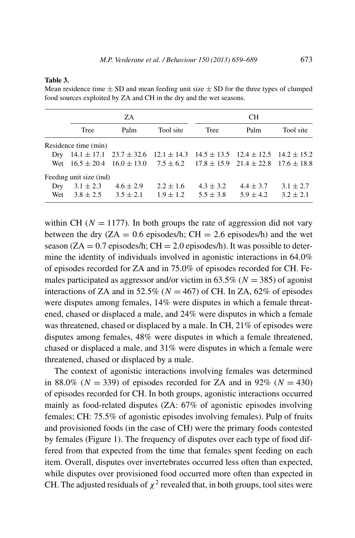#### **Table 3.**

Mean residence time  $\pm$  SD and mean feeding unit size  $\pm$  SD for the three types of clumped food sources exploited by ZA and CH in the dry and the wet seasons.

|     |                         | ZA                                                                                              |               |               | CН            |               |
|-----|-------------------------|-------------------------------------------------------------------------------------------------|---------------|---------------|---------------|---------------|
|     | <b>Tree</b>             | Palm                                                                                            | Tool site     | Tree          | Palm          | Tool site     |
|     | Residence time (min)    |                                                                                                 |               |               |               |               |
| Dry |                         | $14.1 \pm 17.1$ $23.7 \pm 32.6$ $12.1 \pm 14.3$ $14.5 \pm 13.5$ $12.4 \pm 12.5$ $14.2 \pm 15.2$ |               |               |               |               |
| Wet |                         | $16.5 \pm 20.4$ $16.0 \pm 13.0$ $7.5 \pm 6.2$ $17.8 \pm 15.9$ $21.4 \pm 22.8$ $17.6 \pm 18.8$   |               |               |               |               |
|     | Feeding unit size (ind) |                                                                                                 |               |               |               |               |
| Dry | $3.1 \pm 2.3$           | $4.6 \pm 2.9$                                                                                   | $2.2 \pm 1.6$ | $4.3 \pm 3.2$ | $4.4 \pm 3.7$ | $3.1 \pm 2.7$ |
| Wet | $3.8 \pm 2.5$           | $3.5 \pm 2.1$                                                                                   | $1.9 \pm 1.2$ | $5.5 \pm 3.8$ | $5.9 \pm 4.2$ | $3.2 \pm 2.1$ |

within CH ( $N = 1177$ ). In both groups the rate of aggression did not vary between the dry  $(ZA = 0.6 \text{ episodes/h}; CH = 2.6 \text{ episodes/h})$  and the wet season ( $ZA = 0.7$  episodes/h;  $CH = 2.0$  episodes/h). It was possible to determine the identity of individuals involved in agonistic interactions in 64.0% of episodes recorded for ZA and in 75.0% of episodes recorded for CH. Females participated as aggressor and/or victim in  $63.5\%$  ( $N = 385$ ) of agonist interactions of ZA and in 52.5% ( $N = 467$ ) of CH. In ZA, 62% of episodes were disputes among females, 14% were disputes in which a female threatened, chased or displaced a male, and 24% were disputes in which a female was threatened, chased or displaced by a male. In CH, 21% of episodes were disputes among females, 48% were disputes in which a female threatened, chased or displaced a male, and 31% were disputes in which a female were threatened, chased or displaced by a male.

The context of agonistic interactions involving females was determined in 88.0% ( $N = 339$ ) of episodes recorded for ZA and in 92% ( $N = 430$ ) of episodes recorded for CH. In both groups, agonistic interactions occurred mainly as food-related disputes (ZA: 67% of agonistic episodes involving females; CH: 75.5% of agonistic episodes involving females). Pulp of fruits and provisioned foods (in the case of CH) were the primary foods contested by females (Figure 1). The frequency of disputes over each type of food differed from that expected from the time that females spent feeding on each item. Overall, disputes over invertebrates occurred less often than expected, while disputes over provisioned food occurred more often than expected in CH. The adjusted residuals of  $\chi^2$  revealed that, in both groups, tool sites were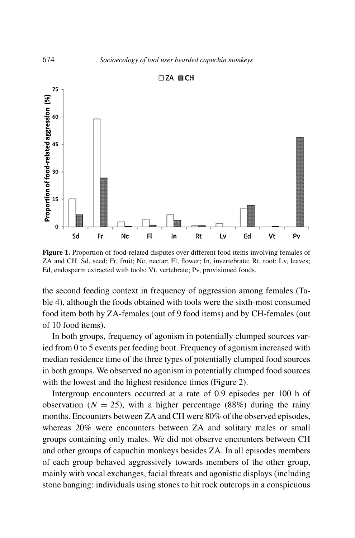

**Figure 1.** Proportion of food-related disputes over different food items involving females of ZA and CH. Sd, seed; Fr, fruit; Nc, nectar; Fl, flower; In, invertebrate; Rt, root; Lv, leaves; Ed, endosperm extracted with tools; Vt, vertebrate; Pv, provisioned foods.

the second feeding context in frequency of aggression among females (Table 4), although the foods obtained with tools were the sixth-most consumed food item both by ZA-females (out of 9 food items) and by CH-females (out of 10 food items).

In both groups, frequency of agonism in potentially clumped sources varied from 0 to 5 events per feeding bout. Frequency of agonism increased with median residence time of the three types of potentially clumped food sources in both groups. We observed no agonism in potentially clumped food sources with the lowest and the highest residence times (Figure 2).

Intergroup encounters occurred at a rate of 0.9 episodes per 100 h of observation ( $N = 25$ ), with a higher percentage (88%) during the rainy months. Encounters between ZA and CH were 80% of the observed episodes, whereas 20% were encounters between ZA and solitary males or small groups containing only males. We did not observe encounters between CH and other groups of capuchin monkeys besides ZA. In all episodes members of each group behaved aggressively towards members of the other group, mainly with vocal exchanges, facial threats and agonistic displays (including stone banging: individuals using stones to hit rock outcrops in a conspicuous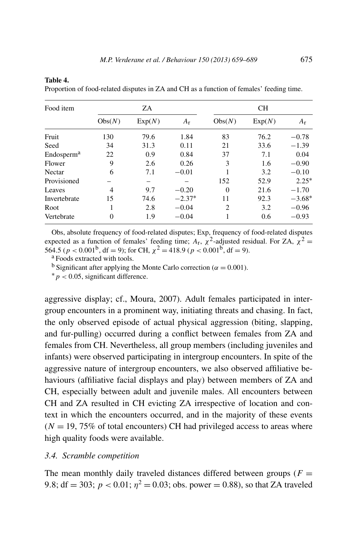| Food item              |                | ZA     |          |                | <b>CH</b> |          |
|------------------------|----------------|--------|----------|----------------|-----------|----------|
|                        | Obs(N)         | Exp(N) | $A_{r}$  | Obs(N)         | Exp(N)    | $A_{r}$  |
| Fruit                  | 130            | 79.6   | 1.84     | 83             | 76.2      | $-0.78$  |
| Seed                   | 34             | 31.3   | 0.11     | 21             | 33.6      | $-1.39$  |
| Endosperm <sup>a</sup> | 22             | 0.9    | 0.84     | 37             | 7.1       | 0.04     |
| Flower                 | 9              | 2.6    | 0.26     | 3              | 1.6       | $-0.90$  |
| Nectar                 | 6              | 7.1    | $-0.01$  |                | 3.2       | $-0.10$  |
| Provisioned            |                |        |          | 152            | 52.9      | $2.25*$  |
| Leaves                 | 4              | 9.7    | $-0.20$  | $\theta$       | 21.6      | $-1.70$  |
| Invertebrate           | 15             | 74.6   | $-2.37*$ | 11             | 92.3      | $-3.68*$ |
| Root                   | 1              | 2.8    | $-0.04$  | $\overline{c}$ | 3.2       | $-0.96$  |
| Vertebrate             | $\overline{0}$ | 1.9    | $-0.04$  |                | 0.6       | $-0.93$  |

**Table 4.**

Proportion of food-related disputes in ZA and CH as a function of females' feeding time.

Obs, absolute frequency of food-related disputes; Exp, frequency of food-related disputes expected as a function of females' feeding time;  $A_r$ ,  $\chi^2$ -adjusted residual. For ZA,  $\chi^2$  = 564.5 ( $p < 0.001^b$ , df = 9); for CH,  $\chi^2 = 418.9$  ( $p < 0.001^b$ , df = 9).

<sup>b</sup> Significant after applying the Monte Carlo correction ( $\alpha = 0.001$ ). <sup>\*</sup>*p* < 0.05, significant difference.

aggressive display; cf., Moura, 2007). Adult females participated in intergroup encounters in a prominent way, initiating threats and chasing. In fact, the only observed episode of actual physical aggression (biting, slapping, and fur-pulling) occurred during a conflict between females from ZA and females from CH. Nevertheless, all group members (including juveniles and infants) were observed participating in intergroup encounters. In spite of the aggressive nature of intergroup encounters, we also observed affiliative behaviours (affiliative facial displays and play) between members of ZA and CH, especially between adult and juvenile males. All encounters between CH and ZA resulted in CH evicting ZA irrespective of location and context in which the encounters occurred, and in the majority of these events  $(N = 19, 75\%$  of total encounters) CH had privileged access to areas where high quality foods were available.

#### *3.4. Scramble competition*

The mean monthly daily traveled distances differed between groups ( $F =$ 9.8;  $df = 303$ ;  $p < 0.01$ ;  $\eta^2 = 0.03$ ; obs. power = 0.88), so that ZA traveled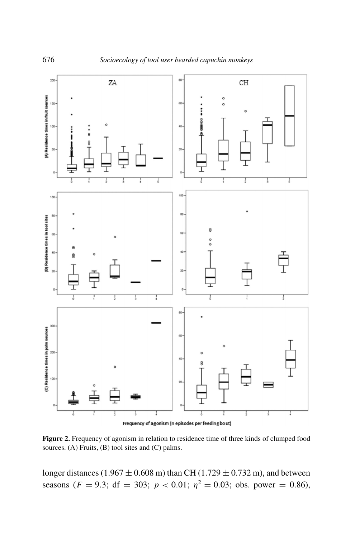

**Figure 2.** Frequency of agonism in relation to residence time of three kinds of clumped food sources. (A) Fruits, (B) tool sites and (C) palms.

longer distances (1.967  $\pm$  0.608 m) than CH (1.729  $\pm$  0.732 m), and between seasons ( $F = 9.3$ ; df = 303;  $p < 0.01$ ;  $\eta^2 = 0.03$ ; obs. power = 0.86),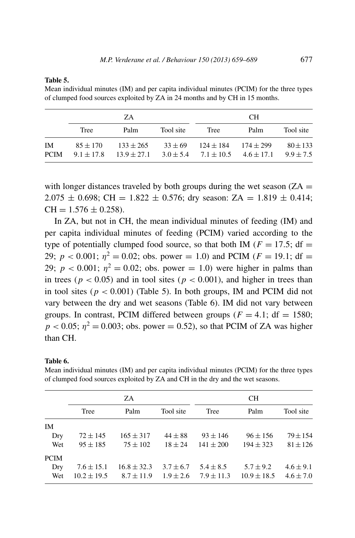#### **Table 5.**

Mean individual minutes (IM) and per capita individual minutes (PCIM) for the three types of clumped food sources exploited by ZA in 24 months and by CH in 15 months.

|                          |                                | ZA                               |             |                                                              | CH.           |                               |
|--------------------------|--------------------------------|----------------------------------|-------------|--------------------------------------------------------------|---------------|-------------------------------|
|                          | Tree                           | Palm                             | Tool site   | Tree                                                         | Palm          | Tool site                     |
| <b>IM</b><br><b>PCIM</b> | $85 \pm 170$<br>$9.1 \pm 17.8$ | $133 \pm 265$<br>$13.9 \pm 27.1$ | $33 \pm 69$ | $124 \pm 184$<br>$3.0 \pm 5.4$ $7.1 \pm 10.5$ $4.6 \pm 17.1$ | $174 \pm 299$ | $80 \pm 133$<br>$9.9 \pm 7.5$ |

with longer distances traveled by both groups during the wet season  $(ZA =$  $2.075 \pm 0.698$ ; CH = 1.822  $\pm$  0.576; dry season: ZA = 1.819  $\pm$  0.414;  $CH = 1.576 \pm 0.258$ .

In ZA, but not in CH, the mean individual minutes of feeding (IM) and per capita individual minutes of feeding (PCIM) varied according to the type of potentially clumped food source, so that both IM ( $F = 17.5$ ; df = 29;  $p < 0.001$ ;  $n^2 = 0.02$ ; obs. power = 1.0) and PCIM ( $F = 19.1$ ; df = 29;  $p < 0.001$ ;  $n^2 = 0.02$ ; obs. power = 1.0) were higher in palms than in trees ( $p < 0.05$ ) and in tool sites ( $p < 0.001$ ), and higher in trees than in tool sites ( $p < 0.001$ ) (Table 5). In both groups, IM and PCIM did not vary between the dry and wet seasons (Table 6). IM did not vary between groups. In contrast, PCIM differed between groups ( $F = 4.1$ ; df = 1580;  $p < 0.05$ ;  $\eta^2 = 0.003$ ; obs. power = 0.52), so that PCIM of ZA was higher than CH.

#### **Table 6.**

Mean individual minutes (IM) and per capita individual minutes (PCIM) for the three types of clumped food sources exploited by ZA and CH in the dry and the wet seasons.

|             |                 | ZA              |               |                | CН              |               |
|-------------|-----------------|-----------------|---------------|----------------|-----------------|---------------|
|             | Tree            | Palm            | Tool site     | Tree           | Palm            | Tool site     |
| <b>IM</b>   |                 |                 |               |                |                 |               |
| Dry         | $72 \pm 145$    | $165 \pm 317$   | $44 \pm 88$   | $93 \pm 146$   | $96 \pm 156$    | $79 \pm 154$  |
| Wet         | $95 \pm 185$    | $75 \pm 102$    | $18 \pm 24$   | $141 \pm 200$  | $194 \pm 323$   | $81 \pm 126$  |
| <b>PCIM</b> |                 |                 |               |                |                 |               |
| Dry         | $7.6 \pm 15.1$  | $16.8 \pm 32.3$ | $3.7 \pm 6.7$ | $5.4 \pm 8.5$  | $5.7 \pm 9.2$   | $4.6 \pm 9.1$ |
| Wet         | $10.2 \pm 19.5$ | $8.7 \pm 11.9$  | $1.9 \pm 2.6$ | $7.9 \pm 11.3$ | $10.9 \pm 18.5$ | $4.6 \pm 7.0$ |
|             |                 |                 |               |                |                 |               |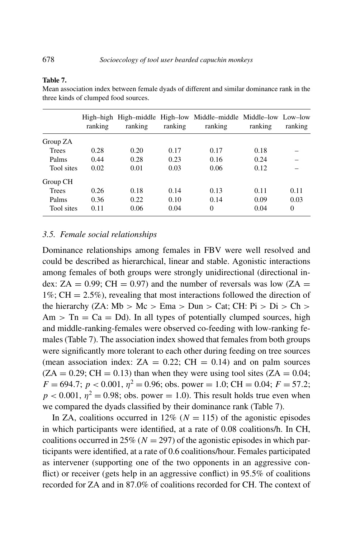#### **Table 7.**

Mean association index between female dyads of different and similar dominance rank in the three kinds of clumped food sources.

|              | ranking | ranking | ranking | High-high High-middle High-low Middle-middle Middle-low Low-low<br>ranking | ranking | ranking  |
|--------------|---------|---------|---------|----------------------------------------------------------------------------|---------|----------|
| Group ZA     |         |         |         |                                                                            |         |          |
| <b>Trees</b> | 0.28    | 0.20    | 0.17    | 0.17                                                                       | 0.18    |          |
| Palms        | 0.44    | 0.28    | 0.23    | 0.16                                                                       | 0.24    |          |
| Tool sites   | 0.02    | 0.01    | 0.03    | 0.06                                                                       | 0.12    |          |
| Group CH     |         |         |         |                                                                            |         |          |
| <b>Trees</b> | 0.26    | 0.18    | 0.14    | 0.13                                                                       | 0.11    | 0.11     |
| Palms        | 0.36    | 0.22    | 0.10    | 0.14                                                                       | 0.09    | 0.03     |
| Tool sites   | 0.11    | 0.06    | 0.04    | $\theta$                                                                   | 0.04    | $\Omega$ |

#### *3.5. Female social relationships*

Dominance relationships among females in FBV were well resolved and could be described as hierarchical, linear and stable. Agonistic interactions among females of both groups were strongly unidirectional (directional index: ZA = 0.99; CH = 0.97) and the number of reversals was low  $(ZA =$ 1%; CH =  $2.5\%$ ), revealing that most interactions followed the direction of the hierarchy (ZA: Mb *>* Mc *>* Ema *>* Dun *>* Cat; CH: Pi *>* Di *>* Ch *>*  $Am > Th = Ca = Dd$ . In all types of potentially clumped sources, high and middle-ranking-females were observed co-feeding with low-ranking females (Table 7). The association index showed that females from both groups were significantly more tolerant to each other during feeding on tree sources (mean association index:  $ZA = 0.22$ ;  $CH = 0.14$ ) and on palm sources  $(ZA = 0.29; CH = 0.13)$  than when they were using tool sites  $(ZA = 0.04;$  $F = 694.7$ ;  $p < 0.001$ ,  $\eta^2 = 0.96$ ; obs. power = 1.0; CH = 0.04;  $F = 57.2$ ;  $p < 0.001$ ,  $\eta^2 = 0.98$ ; obs. power = 1.0). This result holds true even when we compared the dyads classified by their dominance rank (Table 7).

In ZA, coalitions occurred in 12% ( $N = 115$ ) of the agonistic episodes in which participants were identified, at a rate of 0.08 coalitions/h. In CH, coalitions occurred in 25% ( $N = 297$ ) of the agonistic episodes in which participants were identified, at a rate of 0.6 coalitions/hour. Females participated as intervener (supporting one of the two opponents in an aggressive conflict) or receiver (gets help in an aggressive conflict) in 95.5% of coalitions recorded for ZA and in 87.0% of coalitions recorded for CH. The context of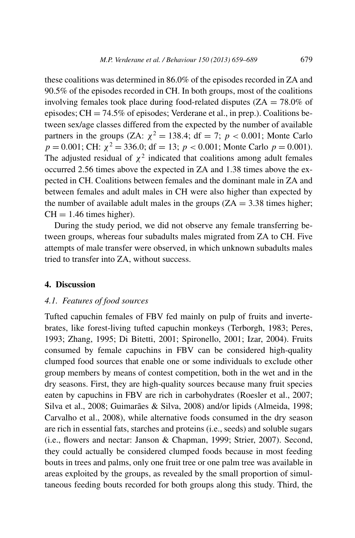these coalitions was determined in 86.0% of the episodes recorded in ZA and 90.5% of the episodes recorded in CH. In both groups, most of the coalitions involving females took place during food-related disputes  $(ZA = 78.0\%$  of episodes;  $CH = 74.5\%$  of episodes; Verderane et al., in prep.). Coalitions between sex/age classes differed from the expected by the number of available partners in the groups (ZA:  $\chi^2 = 138.4$ ; df = 7; *p* < 0.001; Monte Carlo  $p = 0.001$ ; CH:  $\chi^2 = 336.0$ ; df = 13;  $p < 0.001$ ; Monte Carlo  $p = 0.001$ ). The adjusted residual of  $\chi^2$  indicated that coalitions among adult females occurred 2.56 times above the expected in ZA and 1.38 times above the expected in CH. Coalitions between females and the dominant male in ZA and between females and adult males in CH were also higher than expected by the number of available adult males in the groups  $(ZA = 3.38)$  times higher;  $CH = 1.46$  times higher).

During the study period, we did not observe any female transferring between groups, whereas four subadults males migrated from ZA to CH. Five attempts of male transfer were observed, in which unknown subadults males tried to transfer into ZA, without success.

# **4. Discussion**

# *4.1. Features of food sources*

Tufted capuchin females of FBV fed mainly on pulp of fruits and invertebrates, like forest-living tufted capuchin monkeys (Terborgh, 1983; Peres, 1993; Zhang, 1995; Di Bitetti, 2001; Spironello, 2001; Izar, 2004). Fruits consumed by female capuchins in FBV can be considered high-quality clumped food sources that enable one or some individuals to exclude other group members by means of contest competition, both in the wet and in the dry seasons. First, they are high-quality sources because many fruit species eaten by capuchins in FBV are rich in carbohydrates (Roesler et al., 2007; Silva et al., 2008; Guimarães & Silva, 2008) and/or lipids (Almeida, 1998; Carvalho et al., 2008), while alternative foods consumed in the dry season are rich in essential fats, starches and proteins (i.e., seeds) and soluble sugars (i.e., flowers and nectar: Janson & Chapman, 1999; Strier, 2007). Second, they could actually be considered clumped foods because in most feeding bouts in trees and palms, only one fruit tree or one palm tree was available in areas exploited by the groups, as revealed by the small proportion of simultaneous feeding bouts recorded for both groups along this study. Third, the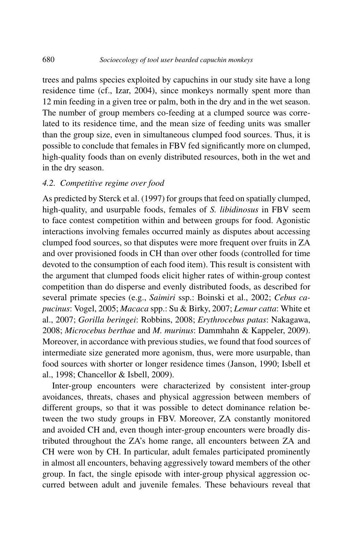trees and palms species exploited by capuchins in our study site have a long residence time (cf., Izar, 2004), since monkeys normally spent more than 12 min feeding in a given tree or palm, both in the dry and in the wet season. The number of group members co-feeding at a clumped source was correlated to its residence time, and the mean size of feeding units was smaller than the group size, even in simultaneous clumped food sources. Thus, it is possible to conclude that females in FBV fed significantly more on clumped, high-quality foods than on evenly distributed resources, both in the wet and in the dry season.

#### *4.2. Competitive regime over food*

As predicted by Sterck et al. (1997) for groups that feed on spatially clumped, high-quality, and usurpable foods, females of *S. libidinosus* in FBV seem to face contest competition within and between groups for food. Agonistic interactions involving females occurred mainly as disputes about accessing clumped food sources, so that disputes were more frequent over fruits in ZA and over provisioned foods in CH than over other foods (controlled for time devoted to the consumption of each food item). This result is consistent with the argument that clumped foods elicit higher rates of within-group contest competition than do disperse and evenly distributed foods, as described for several primate species (e.g., *Saimiri* ssp.: Boinski et al., 2002; *Cebus capucinus*: Vogel, 2005; *Macaca* spp.: Su & Birky, 2007; *Lemur catta*: White et al., 2007; *Gorilla beringei*: Robbins, 2008; *Erythrocebus patas*: Nakagawa, 2008; *Microcebus berthae* and *M. murinus*: Dammhahn & Kappeler, 2009). Moreover, in accordance with previous studies, we found that food sources of intermediate size generated more agonism, thus, were more usurpable, than food sources with shorter or longer residence times (Janson, 1990; Isbell et al., 1998; Chancellor & Isbell, 2009).

Inter-group encounters were characterized by consistent inter-group avoidances, threats, chases and physical aggression between members of different groups, so that it was possible to detect dominance relation between the two study groups in FBV. Moreover, ZA constantly monitored and avoided CH and, even though inter-group encounters were broadly distributed throughout the ZA's home range, all encounters between ZA and CH were won by CH. In particular, adult females participated prominently in almost all encounters, behaving aggressively toward members of the other group. In fact, the single episode with inter-group physical aggression occurred between adult and juvenile females. These behaviours reveal that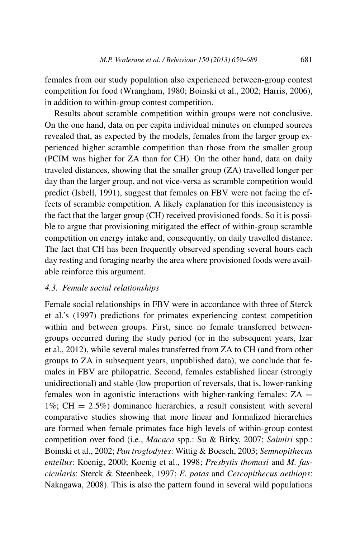females from our study population also experienced between-group contest competition for food (Wrangham, 1980; Boinski et al., 2002; Harris, 2006), in addition to within-group contest competition.

Results about scramble competition within groups were not conclusive. On the one hand, data on per capita individual minutes on clumped sources revealed that, as expected by the models, females from the larger group experienced higher scramble competition than those from the smaller group (PCIM was higher for ZA than for CH). On the other hand, data on daily traveled distances, showing that the smaller group (ZA) travelled longer per day than the larger group, and not vice-versa as scramble competition would predict (Isbell, 1991), suggest that females on FBV were not facing the effects of scramble competition. A likely explanation for this inconsistency is the fact that the larger group (CH) received provisioned foods. So it is possible to argue that provisioning mitigated the effect of within-group scramble competition on energy intake and, consequently, on daily travelled distance. The fact that CH has been frequently observed spending several hours each day resting and foraging nearby the area where provisioned foods were available reinforce this argument.

# *4.3. Female social relationships*

Female social relationships in FBV were in accordance with three of Sterck et al.'s (1997) predictions for primates experiencing contest competition within and between groups. First, since no female transferred betweengroups occurred during the study period (or in the subsequent years, Izar et al., 2012), while several males transferred from ZA to CH (and from other groups to ZA in subsequent years, unpublished data), we conclude that females in FBV are philopatric. Second, females established linear (strongly unidirectional) and stable (low proportion of reversals, that is, lower-ranking females won in agonistic interactions with higher-ranking females:  $ZA =$ 1%; CH =  $2.5\%$ ) dominance hierarchies, a result consistent with several comparative studies showing that more linear and formalized hierarchies are formed when female primates face high levels of within-group contest competition over food (i.e., *Macaca* spp.: Su & Birky, 2007; *Saimiri* spp.: Boinski et al., 2002; *Pan troglodytes*: Wittig & Boesch, 2003; *Semnopithecus entellus*: Koenig, 2000; Koenig et al., 1998; *Presbytis thomasi* and *M. fascicularis*: Sterck & Steenbeek, 1997; *E. patas* and *Cercopithecus aethiops*: Nakagawa, 2008). This is also the pattern found in several wild populations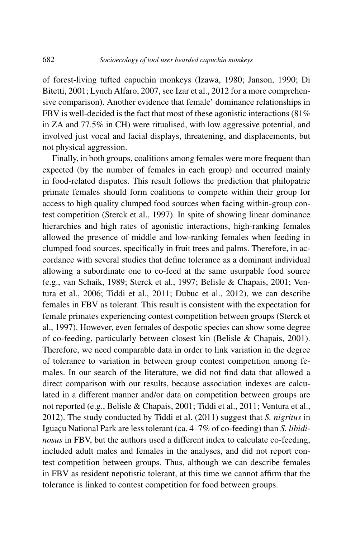of forest-living tufted capuchin monkeys (Izawa, 1980; Janson, 1990; Di Bitetti, 2001; Lynch Alfaro, 2007, see Izar et al., 2012 for a more comprehensive comparison). Another evidence that female' dominance relationships in FBV is well-decided is the fact that most of these agonistic interactions (81% in ZA and 77.5% in CH) were ritualised, with low aggressive potential, and involved just vocal and facial displays, threatening, and displacements, but not physical aggression.

Finally, in both groups, coalitions among females were more frequent than expected (by the number of females in each group) and occurred mainly in food-related disputes. This result follows the prediction that philopatric primate females should form coalitions to compete within their group for access to high quality clumped food sources when facing within-group contest competition (Sterck et al., 1997). In spite of showing linear dominance hierarchies and high rates of agonistic interactions, high-ranking females allowed the presence of middle and low-ranking females when feeding in clumped food sources, specifically in fruit trees and palms. Therefore, in accordance with several studies that define tolerance as a dominant individual allowing a subordinate one to co-feed at the same usurpable food source (e.g., van Schaik, 1989; Sterck et al., 1997; Belisle & Chapais, 2001; Ventura et al., 2006; Tiddi et al., 2011; Dubuc et al., 2012), we can describe females in FBV as tolerant. This result is consistent with the expectation for female primates experiencing contest competition between groups (Sterck et al., 1997). However, even females of despotic species can show some degree of co-feeding, particularly between closest kin (Belisle & Chapais, 2001). Therefore, we need comparable data in order to link variation in the degree of tolerance to variation in between group contest competition among females. In our search of the literature, we did not find data that allowed a direct comparison with our results, because association indexes are calculated in a different manner and/or data on competition between groups are not reported (e.g., Belisle & Chapais, 2001; Tiddi et al., 2011; Ventura et al., 2012). The study conducted by Tiddi et al. (2011) suggest that *S. nigritus* in Iguaçu National Park are less tolerant (ca. 4–7% of co-feeding) than *S. libidinosus* in FBV, but the authors used a different index to calculate co-feeding, included adult males and females in the analyses, and did not report contest competition between groups. Thus, although we can describe females in FBV as resident nepotistic tolerant, at this time we cannot affirm that the tolerance is linked to contest competition for food between groups.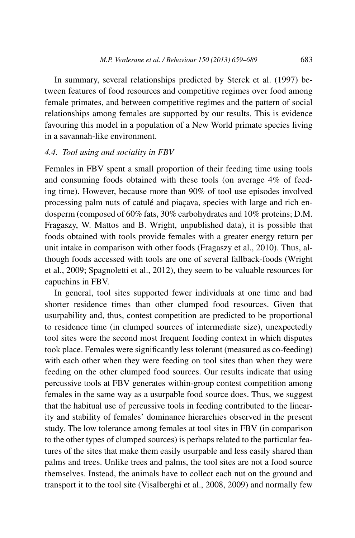In summary, several relationships predicted by Sterck et al. (1997) between features of food resources and competitive regimes over food among female primates, and between competitive regimes and the pattern of social relationships among females are supported by our results. This is evidence favouring this model in a population of a New World primate species living in a savannah-like environment.

#### *4.4. Tool using and sociality in FBV*

Females in FBV spent a small proportion of their feeding time using tools and consuming foods obtained with these tools (on average 4% of feeding time). However, because more than 90% of tool use episodes involved processing palm nuts of catulé and piaçava, species with large and rich endosperm (composed of 60% fats, 30% carbohydrates and 10% proteins; D.M. Fragaszy, W. Mattos and B. Wright, unpublished data), it is possible that foods obtained with tools provide females with a greater energy return per unit intake in comparison with other foods (Fragaszy et al., 2010). Thus, although foods accessed with tools are one of several fallback-foods (Wright et al., 2009; Spagnoletti et al., 2012), they seem to be valuable resources for capuchins in FBV.

In general, tool sites supported fewer individuals at one time and had shorter residence times than other clumped food resources. Given that usurpability and, thus, contest competition are predicted to be proportional to residence time (in clumped sources of intermediate size), unexpectedly tool sites were the second most frequent feeding context in which disputes took place. Females were significantly less tolerant (measured as co-feeding) with each other when they were feeding on tool sites than when they were feeding on the other clumped food sources. Our results indicate that using percussive tools at FBV generates within-group contest competition among females in the same way as a usurpable food source does. Thus, we suggest that the habitual use of percussive tools in feeding contributed to the linearity and stability of females' dominance hierarchies observed in the present study. The low tolerance among females at tool sites in FBV (in comparison to the other types of clumped sources) is perhaps related to the particular features of the sites that make them easily usurpable and less easily shared than palms and trees. Unlike trees and palms, the tool sites are not a food source themselves. Instead, the animals have to collect each nut on the ground and transport it to the tool site (Visalberghi et al., 2008, 2009) and normally few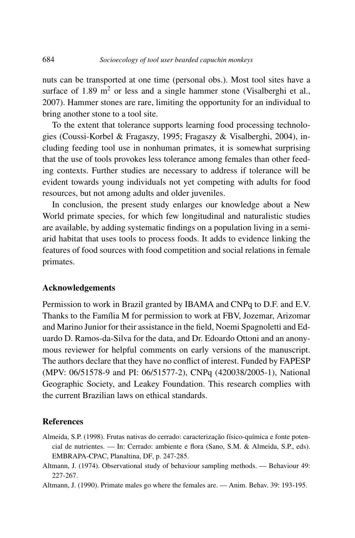nuts can be transported at one time (personal obs.). Most tool sites have a surface of 1.89  $m<sup>2</sup>$  or less and a single hammer stone (Visalberghi et al., 2007). Hammer stones are rare, limiting the opportunity for an individual to bring another stone to a tool site.

To the extent that tolerance supports learning food processing technologies (Coussi-Korbel & Fragaszy, 1995; Fragaszy & Visalberghi, 2004), including feeding tool use in nonhuman primates, it is somewhat surprising that the use of tools provokes less tolerance among females than other feeding contexts. Further studies are necessary to address if tolerance will be evident towards young individuals not yet competing with adults for food resources, but not among adults and older juveniles.

In conclusion, the present study enlarges our knowledge about a New World primate species, for which few longitudinal and naturalistic studies are available, by adding systematic findings on a population living in a semiarid habitat that uses tools to process foods. It adds to evidence linking the features of food sources with food competition and social relations in female primates.

#### **Acknowledgements**

Permission to work in Brazil granted by IBAMA and CNPq to D.F. and E.V. Thanks to the Família M for permission to work at FBV, Jozemar, Arizomar and Marino Junior for their assistance in the field, Noemi Spagnoletti and Eduardo D. Ramos-da-Silva for the data, and Dr. Edoardo Ottoni and an anonymous reviewer for helpful comments on early versions of the manuscript. The authors declare that they have no conflict of interest. Funded by FAPESP (MPV: 06/51578-9 and PI: 06/51577-2), CNPq (420038/2005-1), National Geographic Society, and Leakey Foundation. This research complies with the current Brazilian laws on ethical standards.

#### **References**

- Almeida, S.P. (1998). Frutas nativas do cerrado: caracterização físico-química e fonte potencial de nutrientes. — In: Cerrado: ambiente e flora (Sano, S.M. & Almeida, S.P., eds). EMBRAPA-CPAC, Planaltina, DF, p. 247-285.
- Altmann, J. (1974). Observational study of behaviour sampling methods. Behaviour 49: 227-267.

Altmann, J. (1990). Primate males go where the females are. — Anim. Behav. 39: 193-195.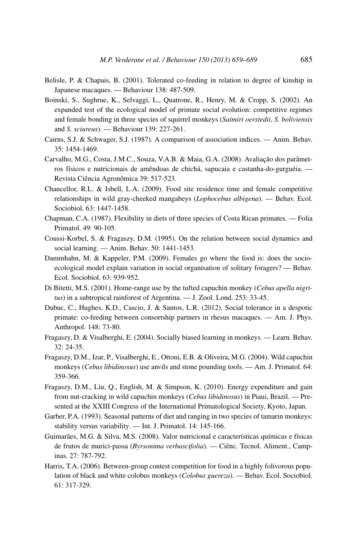- Belisle, P. & Chapais, B. (2001). Tolerated co-feeding in relation to degree of kinship in Japanese macaques. — Behaviour 138: 487-509.
- Boinski, S., Sughrue, K., Selvaggi, L., Quatrone, R., Henry, M. & Cropp, S. (2002). An expanded test of the ecological model of primate social evolution: competitive regimes and female bonding in three species of squirrel monkeys (*Saimiri oerstedii*, *S. boliviensis* and *S. sciureus*). — Behaviour 139: 227-261.
- Cairns, S.J. & Schwager, S.J. (1987). A comparison of association indices. Anim. Behav. 35: 1454-1469.
- Carvalho, M.G., Costa, J.M.C., Souza, V.A.B. & Maia, G.A. (2008). Avaliação dos parâmetros físicos e nutricionais de amêndoas de chichá, sapucaia e castanha-do-gurguéia. — Revista Ciência Agronômica 39: 517-523.
- Chancellor, R.L. & Isbell, L.A. (2009). Food site residence time and female competitive relationships in wild gray-cheeked mangabeys (*Lophocebus albigena*). — Behav. Ecol. Sociobiol. 63: 1447-1458.
- Chapman, C.A. (1987). Flexibility in diets of three species of Costa Rican primates. Folia Primatol. 49: 90-105.
- Coussi-Korbel, S. & Fragaszy, D.M. (1995). On the relation between social dynamics and social learning. — Anim. Behav. 50: 1441-1453.
- Dammhahn, M. & Kappeler, P.M. (2009). Females go where the food is: does the socioecological model explain variation in social organisation of solitary foragers? — Behav. Ecol. Sociobiol. 63: 939-952.
- Di Bitetti, M.S. (2001). Home-range use by the tufted capuchin monkey (*Cebus apella nigritus*) in a subtropical rainforest of Argentina. — J. Zool. Lond. 253: 33-45.
- Dubuc, C., Hughes, K.D., Cascio, J. & Santos, L.R. (2012). Social tolerance in a despotic primate: co-feeding between consortship partners in rhesus macaques. — Am. J. Phys. Anthropol. 148: 73-80.
- Fragaszy, D. & Visalberghi, E. (2004). Socially biased learning in monkeys. Learn. Behav. 32: 24-35.
- Fragaszy, D.M., Izar, P., Visalberghi, E., Ottoni, E.B. & Oliveira, M.G. (2004). Wild capuchin monkeys (*Cebus libidinosus*) use anvils and stone pounding tools. — Am. J. Primatol. 64: 359-366.
- Fragaszy, D.M., Liu, Q., English, M. & Simpson, K. (2010). Energy expenditure and gain from nut-cracking in wild capuchin monkeys (*Cebus libidinosus*) in Piaui, Brazil. — Presented at the XXIII Congress of the International Primatological Society, Kyoto, Japan.
- Garber, P.A. (1993). Seasonal patterns of diet and ranging in two species of tamarin monkeys: stability versus variability. — Int. J. Primatol. 14: 145-166.
- Guimarães, M.G. & Silva, M.S. (2008). Valor nutricional e características químicas e físicas de frutos de murici-passa (*Byrsonima verbascifolia*). — Ciênc. Tecnol. Aliment., Campinas. 27: 787-792.
- Harris, T.A. (2006). Between-group contest competition for food in a highly folivorous population of black and white colobus monkeys (*Colobus guereza*). — Behav. Ecol. Sociobiol. 61: 317-329.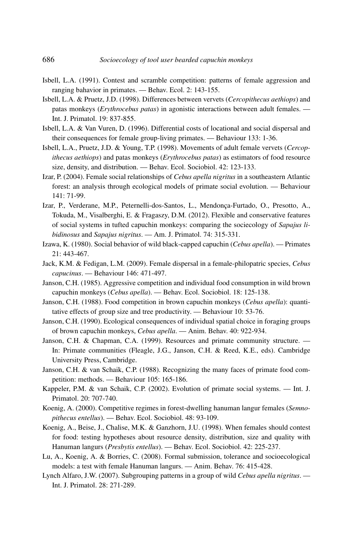- Isbell, L.A. (1991). Contest and scramble competition: patterns of female aggression and ranging bahavior in primates. — Behav. Ecol. 2: 143-155.
- Isbell, L.A. & Pruetz, J.D. (1998). Differences between vervets (*Cercopithecus aethiops*) and patas monkeys (*Erythrocebus patas*) in agonistic interactions between adult females. — Int. J. Primatol. 19: 837-855.
- Isbell, L.A. & Van Vuren, D. (1996). Differential costs of locational and social dispersal and their consequences for female group-living primates. — Behaviour 133: 1-36.
- Isbell, L.A., Pruetz, J.D. & Young, T.P. (1998). Movements of adult female vervets (*Cercopithecus aethiops*) and patas monkeys (*Erythrocebus patas*) as estimators of food resource size, density, and distribution. — Behav. Ecol. Sociobiol. 42: 123-133.
- Izar, P. (2004). Female social relationships of *Cebus apella nigritus* in a southeastern Atlantic forest: an analysis through ecological models of primate social evolution. — Behaviour 141: 71-99.
- Izar, P., Verderane, M.P., Peternelli-dos-Santos, L., Mendonça-Furtado, O., Presotto, A., Tokuda, M., Visalberghi, E. & Fragaszy, D.M. (2012). Flexible and conservative features of social systems in tufted capuchin monkeys: comparing the sociecology of *Sapajus libidinosus* and *Sapajus nigritus*. — Am. J. Primatol. 74: 315-331.
- Izawa, K. (1980). Social behavior of wild black-capped capuchin (*Cebus apella*). Primates 21: 443-467.
- Jack, K.M. & Fedigan, L.M. (2009). Female dispersal in a female-philopatric species, *Cebus capucinus*. — Behaviour 146: 471-497.
- Janson, C.H. (1985). Aggressive competition and individual food consumption in wild brown capuchin monkeys (*Cebus apella*). — Behav. Ecol. Sociobiol. 18: 125-138.
- Janson, C.H. (1988). Food competition in brown capuchin monkeys (*Cebus apella*): quantitative effects of group size and tree productivity. — Behaviour 10: 53-76.
- Janson, C.H. (1990). Ecological consequences of individual spatial choice in foraging groups of brown capuchin monkeys, *Cebus apella*. — Anim. Behav. 40: 922-934.
- Janson, C.H. & Chapman, C.A. (1999). Resources and primate community structure. In: Primate communities (Fleagle, J.G., Janson, C.H. & Reed, K.E., eds). Cambridge University Press, Cambridge.
- Janson, C.H. & van Schaik, C.P. (1988). Recognizing the many faces of primate food competition: methods. — Behaviour 105: 165-186.
- Kappeler, P.M. & van Schaik, C.P. (2002). Evolution of primate social systems. Int. J. Primatol. 20: 707-740.
- Koenig, A. (2000). Competitive regimes in forest-dwelling hanuman langur females (*Semnopithecus entellus*). — Behav. Ecol. Sociobiol. 48: 93-109.
- Koenig, A., Beise, J., Chalise, M.K. & Ganzhorn, J.U. (1998). When females should contest for food: testing hypotheses about resource density, distribution, size and quality with Hanuman langurs (*Presbytis entellus*). — Behav. Ecol. Sociobiol. 42: 225-237.
- Lu, A., Koenig, A. & Borries, C. (2008). Formal submission, tolerance and socioecological models: a test with female Hanuman langurs. — Anim. Behav. 76: 415-428.
- Lynch Alfaro, J.W. (2007). Subgrouping patterns in a group of wild *Cebus apella nigritus*. Int. J. Primatol. 28: 271-289.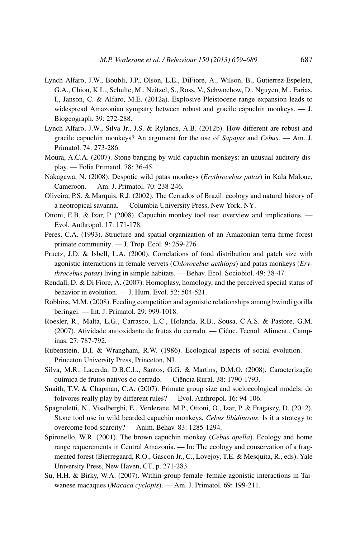- Lynch Alfaro, J.W., Boubli, J.P., Olson, L.E., DiFiore, A., Wilson, B., Gutierrez-Espeleta, G.A., Chiou, K.L., Schulte, M., Neitzel, S., Ross, V., Schwochow, D., Nguyen, M., Farias, I., Janson, C. & Alfaro, M.E. (2012a). Explosive Pleistocene range expansion leads to widespread Amazonian sympatry between robust and gracile capuchin monkeys. — J. Biogeograph. 39: 272-288.
- Lynch Alfaro, J.W., Silva Jr., J.S. & Rylands, A.B. (2012b). How different are robust and gracile capuchin monkeys? An argument for the use of *Sapajus* and *Cebus*. — Am. J. Primatol. 74: 273-286.
- Moura, A.C.A. (2007). Stone banging by wild capuchin monkeys: an unusual auditory display. — Folia Primatol. 78: 36-45.
- Nakagawa, N. (2008). Despotic wild patas monkeys (*Erythrocebus patas*) in Kala Maloue, Cameroon. — Am. J. Primatol. 70: 238-246.
- Oliveira, P.S. & Marquis, R.J. (2002). The Cerrados of Brazil: ecology and natural history of a neotropical savanna. — Columbia University Press, New York, NY.
- Ottoni, E.B. & Izar, P. (2008). Capuchin monkey tool use: overview and implications. Evol. Anthropol. 17: 171-178.
- Peres, C.A. (1993). Structure and spatial organization of an Amazonian terra firme forest primate community. — J. Trop. Ecol. 9: 259-276.
- Pruetz, J.D. & Isbell, L.A. (2000). Correlations of food distribution and patch size with agonistic interactions in female vervets (*Chlorocebus aethiops*) and patas monkeys (*Erythrocebus patas*) living in simple habitats. — Behav. Ecol. Sociobiol. 49: 38-47.
- Rendall, D. & Di Fiore, A. (2007). Homoplasy, homology, and the perceived special status of behavior in evolution. — J. Hum. Evol. 52: 504-521.
- Robbins, M.M. (2008). Feeding competition and agonistic relationships among bwindi gorilla beringei. — Int. J. Primatol. 29: 999-1018.
- Roesler, R., Malta, L.G., Carrasco, L.C., Holanda, R.B., Sousa, C.A.S. & Pastore, G.M. (2007). Atividade antioxidante de frutas do cerrado. — Ciênc. Tecnol. Aliment., Campinas. 27: 787-792.
- Rubenstein, D.I. & Wrangham, R.W. (1986). Ecological aspects of social evolution. Princeton University Press, Princeton, NJ.
- Silva, M.R., Lacerda, D.B.C.L., Santos, G.G. & Martins, D.M.O. (2008). Caracterização química de frutos nativos do cerrado. — Ciência Rural. 38: 1790-1793.
- Snaith, T.V. & Chapman, C.A. (2007). Primate group size and socioecological models: do folivores really play by different rules? — Evol. Anthropol. 16: 94-106.
- Spagnoletti, N., Visalberghi, E., Verderane, M.P., Ottoni, O., Izar, P. & Fragaszy, D. (2012). Stone tool use in wild bearded capuchin monkeys, *Cebus libidinosus*. Is it a strategy to overcome food scarcity? — Anim. Behav. 83: 1285-1294.
- Spironello, W.R. (2001). The brown capuchin monkey (*Cebus apella*). Ecology and home range requerements in Central Amazonia. — In: The ecology and conservation of a fragmented forest (Bierregaard, R.O., Gascon Jr., C., Lovejoy, T.E. & Mesquita, R., eds). Yale University Press, New Haven, CT, p. 271-283.
- Su, H.H. & Birky, W.A. (2007). Within-group female–female agonistic interactions in Taiwanese macaques (*Macaca cyclopis*). — Am. J. Primatol. 69: 199-211.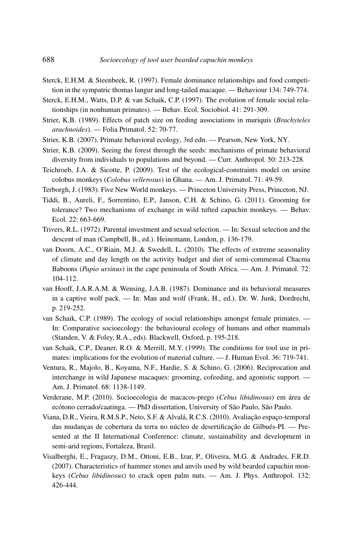- Sterck, E.H.M. & Steenbeek, R. (1997). Female dominance relationships and food competition in the sympatric thomas langur and long-tailed macaque. — Behaviour 134: 749-774.
- Sterck, E.H.M., Watts, D.P. & van Schaik, C.P. (1997). The evolution of female social relationships (in nonhuman primates). — Behav. Ecol. Sociobiol. 41: 291-309.
- Strier, K.B. (1989). Effects of patch size on feeding associations in muriquis (*Brachyteles arachnoides*). — Folia Primatol. 52: 70-77.
- Strier, K.B. (2007). Primate behavioral ecology, 3rd edn. Pearson, New York, NY.
- Strier, K.B. (2009). Seeing the forest through the seeds: mechanisms of primate behavioral diversity from individuals to populations and beyond. — Curr. Anthropol. 50: 213-228.
- Teichroeb, J.A. & Sicotte, P. (2009). Test of the ecological-constraints model on ursine colobus monkeys (*Colobus vellerosus*) in Ghana. — Am. J. Primatol. 71: 49-59.
- Terborgh, J. (1983). Five New World monkeys. Princeton University Press, Princeton, NJ.
- Tiddi, B., Aureli, F., Sorrentino, E.P., Janson, C.H. & Schino, G. (2011). Grooming for tolerance? Two mechanisms of exchange in wild tufted capuchin monkeys. — Behav. Ecol. 22: 663-669.
- Trivers, R.L. (1972). Parental investment and sexual selection. In: Sexual selection and the descent of man (Campbell, B., ed.). Heinemann, London, p. 136-179.
- van Doorn, A.C., O'Riain, M.J. & Swedell, L. (2010). The effects of extreme seasonality of climate and day length on the activity budget and diet of semi-commensal Chacma Baboons (*Papio ursinus*) in the cape peninsula of South Africa. — Am. J. Primatol. 72: 104-112.
- van Hooff, J.A.R.A.M. & Wensing, J.A.B. (1987). Dominance and its behavioral measures in a captive wolf pack. — In: Man and wolf (Frank, H., ed.). Dr. W. Junk, Dordrecht, p. 219-252.
- van Schaik, C.P. (1989). The ecology of social relationships amongst female primates. In: Comparative socioecology: the behavioural ecology of humans and other mammals (Standen, V. & Foley, R.A., eds). Blackwell, Oxford, p. 195-218.
- van Schaik, C.P., Deaner, R.O. & Merrill, M.Y. (1999). The conditions for tool use in primates: implications for the evolution of material culture. — J. Human Evol. 36: 719-741.
- Ventura, R., Majolo, B., Koyama, N.F., Hardie, S. & Schino, G. (2006). Reciprocation and interchange in wild Japanese macaques: grooming, cofeeding, and agonistic support. — Am. J. Primatol. 68: 1138-1149.
- Verderane, M.P. (2010). Socioecologia de macacos-prego (*Cebus libidinosus*) em área de ecótono cerrado/caatinga. — PhD dissertation, University of São Paulo, São Paulo.
- Viana, D.R., Vieira, R.M.S.P., Neto, S.F. & Alvalá, R.C.S. (2010). Avaliação espaço-temporal das mudanças de cobertura da terra no núcleo de desertificação de Gilbués-PI. — Presented at the II International Conference: climate, sustainability and development in semi-arid regions, Fortaleza, Brasil.
- Visalberghi, E., Fragaszy, D.M., Ottoni, E.B., Izar, P., Oliveira, M.G. & Andrades, F.R.D. (2007). Characteristics of hammer stones and anvils used by wild bearded capuchin monkeys (*Cebus libidinosus*) to crack open palm nuts. — Am. J. Phys. Anthropol. 132: 426-444.